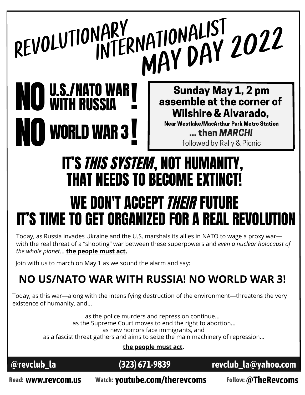### **I WORLD WAR 3 |** VATIONALISI 2022 Sunday May 1, 2 pm assemble at the corner of Wilshire & Alvarado, ... then MARCH! followed by Rally & Picnic **NO U.S./NATO WAR<br>NO WITH RUSSIA** Near Westlake/MacArthur Park Metro Station IT'S THIS SYSTEM, NOT HUMANITY, THAT NEEDS TO BECOME EXTINCT! ! REVOLUTIONARY<br>INTERNATIONALIST WE DON'T ACCEPT *their* future

# IT'S TIME TO GET ORGANIZED FOR A REAL REVOLUT

Today, as Russia invades Ukraine and the U.S. marshals its allies in NATO to wage a proxy war with the real threat of a "shooting" war between these superpowers and *even a nuclear holocaust of the whole planet*… **the people must act.**

Join with us to march on May 1 as we sound the alarm and say:

## **NO US/NATO WAR WITH RUSSIA! NO WORLD WAR 3!**

Today, as this war—along with the intensifying destruction of the environment—threatens the very existence of humanity, and…

> as the police murders and repression continue… as the Supreme Court moves to end the right to abortion... as new horrors face immigrants, and as a fascist threat gathers and aims to seize the main machinery of repression…

**the people must act.**



**@revclub\_la (323) [671-9839](tel:3236719839) [revclub\\_la@yahoo.com](mailto:revclub_la@yahoo.com)**

**Read: www.revcom.us Watch: youtube.com/therevcoms Follow:@TheRevcoms**